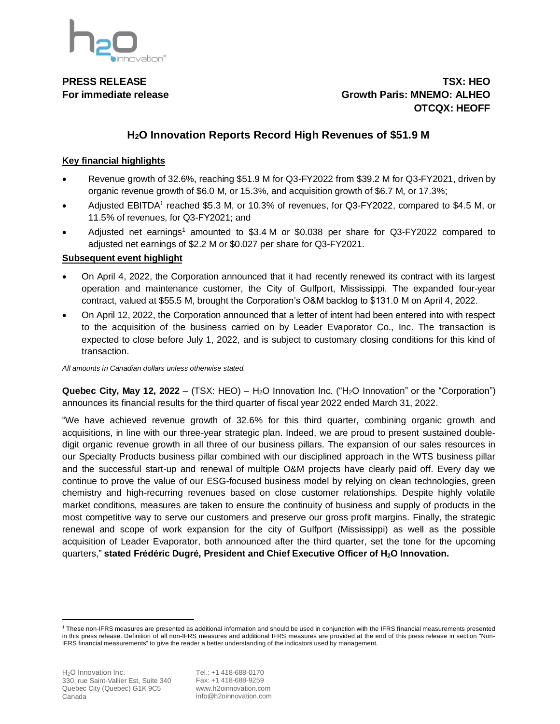

**PRESS RELEASE TSX: HEO For immediate release Growth Paris: MNEMO: ALHEO OTCQX: HEOFF**

# **H2O Innovation Reports Record High Revenues of \$51.9 M**

## **Key financial highlights**

- Revenue growth of 32.6%, reaching \$51.9 M for Q3-FY2022 from \$39.2 M for Q3-FY2021, driven by organic revenue growth of \$6.0 M, or 15.3%, and acquisition growth of \$6.7 M, or 17.3%;
- Adjusted EBITDA<sup>1</sup> reached \$5.3 M, or 10.3% of revenues, for Q3-FY2022, compared to \$4.5 M, or 11.5% of revenues, for Q3-FY2021; and
- Adjusted net earnings<sup>1</sup> amounted to \$3.4 M or \$0.038 per share for Q3-FY2022 compared to adjusted net earnings of \$2.2 M or \$0.027 per share for Q3-FY2021.

## **Subsequent event highlight**

- On April 4, 2022, the Corporation announced that it had recently renewed its contract with its largest operation and maintenance customer, the City of Gulfport, Mississippi. The expanded four-year contract, valued at \$55.5 M, brought the Corporation's O&M backlog to \$131.0 M on April 4, 2022.
- On April 12, 2022, the Corporation announced that a letter of intent had been entered into with respect to the acquisition of the business carried on by Leader Evaporator Co., Inc. The transaction is expected to close before July 1, 2022, and is subject to customary closing conditions for this kind of transaction.

*All amounts in Canadian dollars unless otherwise stated.*

**Quebec City, May 12, 2022** – (TSX: HEO) – H2O Innovation Inc. ("H2O Innovation" or the "Corporation") announces its financial results for the third quarter of fiscal year 2022 ended March 31, 2022.

"We have achieved revenue growth of 32.6% for this third quarter, combining organic growth and acquisitions, in line with our three-year strategic plan. Indeed, we are proud to present sustained doubledigit organic revenue growth in all three of our business pillars. The expansion of our sales resources in our Specialty Products business pillar combined with our disciplined approach in the WTS business pillar and the successful start-up and renewal of multiple O&M projects have clearly paid off. Every day we continue to prove the value of our ESG-focused business model by relying on clean technologies, green chemistry and high-recurring revenues based on close customer relationships. Despite highly volatile market conditions, measures are taken to ensure the continuity of business and supply of products in the most competitive way to serve our customers and preserve our gross profit margins. Finally, the strategic renewal and scope of work expansion for the city of Gulfport (Mississippi) as well as the possible acquisition of Leader Evaporator, both announced after the third quarter, set the tone for the upcoming quarters," **stated Frédéric Dugré, President and Chief Executive Officer of H2O Innovation.**

<sup>1</sup> These non-IFRS measures are presented as additional information and should be used in conjunction with the IFRS financial measurements presented in this press release. Definition of all non-IFRS measures and additional IFRS measures are provided at the end of this press release in section "Non-IFRS financial measurements" to give the reader a better understanding of the indicators used by management.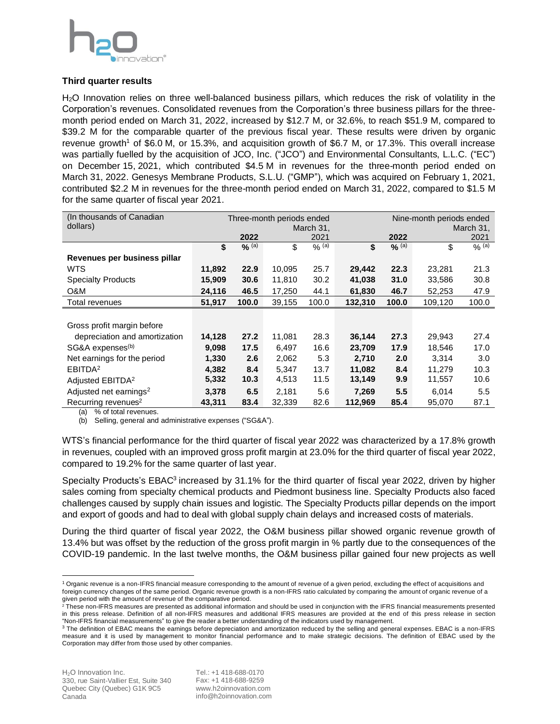

## **Third quarter results**

H2O Innovation relies on three well-balanced business pillars, which reduces the risk of volatility in the Corporation's revenues. Consolidated revenues from the Corporation's three business pillars for the threemonth period ended on March 31, 2022, increased by \$12.7 M, or 32.6%, to reach \$51.9 M, compared to \$39.2 M for the comparable quarter of the previous fiscal year. These results were driven by organic revenue growth<sup>1</sup> of \$6.0 M, or 15.3%, and acquisition growth of \$6.7 M, or 17.3%. This overall increase was partially fuelled by the acquisition of JCO, Inc. ("JCO") and Environmental Consultants, L.L.C. ("EC") on December 15, 2021, which contributed \$4.5 M in revenues for the three-month period ended on March 31, 2022. Genesys Membrane Products, S.L.U. ("GMP"), which was acquired on February 1, 2021, contributed \$2.2 M in revenues for the three-month period ended on March 31, 2022, compared to \$1.5 M for the same quarter of fiscal year 2021.

| (In thousands of Canadian          | Three-month periods ended |         |        |         | Nine-month periods ended |         |         |         |  |
|------------------------------------|---------------------------|---------|--------|---------|--------------------------|---------|---------|---------|--|
| dollars)                           | March 31,                 |         |        |         | March 31,                |         |         |         |  |
|                                    |                           | 2022    |        | 2021    |                          | 2022    |         | 2021    |  |
|                                    | \$                        | $%$ (a) | \$     | $%$ (a) | \$                       | $%$ (a) | \$      | $%$ (a) |  |
| Revenues per business pillar       |                           |         |        |         |                          |         |         |         |  |
| <b>WTS</b>                         | 11,892                    | 22.9    | 10,095 | 25.7    | 29,442                   | 22.3    | 23,281  | 21.3    |  |
| <b>Specialty Products</b>          | 15,909                    | 30.6    | 11,810 | 30.2    | 41,038                   | 31.0    | 33,586  | 30.8    |  |
| O&M                                | 24,116                    | 46.5    | 17,250 | 44.1    | 61,830                   | 46.7    | 52,253  | 47.9    |  |
| Total revenues                     | 51,917                    | 100.0   | 39,155 | 100.0   | 132,310                  | 100.0   | 109,120 | 100.0   |  |
|                                    |                           |         |        |         |                          |         |         |         |  |
| Gross profit margin before         |                           |         |        |         |                          |         |         |         |  |
| depreciation and amortization      | 14,128                    | 27.2    | 11,081 | 28.3    | 36,144                   | 27.3    | 29,943  | 27.4    |  |
| SG&A expenses <sup>(b)</sup>       | 9,098                     | 17.5    | 6,497  | 16.6    | 23,709                   | 17.9    | 18,546  | 17.0    |  |
| Net earnings for the period        | 1,330                     | 2.6     | 2,062  | 5.3     | 2,710                    | 2.0     | 3,314   | 3.0     |  |
| EBITDA <sup>2</sup>                | 4,382                     | 8.4     | 5,347  | 13.7    | 11,082                   | 8.4     | 11,279  | 10.3    |  |
| Adjusted EBITDA <sup>2</sup>       | 5,332                     | 10.3    | 4,513  | 11.5    | 13,149                   | 9.9     | 11,557  | 10.6    |  |
| Adjusted net earnings <sup>2</sup> | 3,378                     | 6.5     | 2,181  | 5.6     | 7,269                    | 5.5     | 6,014   | 5.5     |  |
| Recurring revenues <sup>2</sup>    | 43.311                    | 83.4    | 32.339 | 82.6    | 112.969                  | 85.4    | 95,070  | 87.1    |  |

(a) % of total revenues.

(b) Selling, general and administrative expenses ("SG&A").

WTS's financial performance for the third quarter of fiscal year 2022 was characterized by a 17.8% growth in revenues, coupled with an improved gross profit margin at 23.0% for the third quarter of fiscal year 2022, compared to 19.2% for the same quarter of last year.

Specialty Products's EBAC<sup>3</sup> increased by 31.1% for the third quarter of fiscal year 2022, driven by higher sales coming from specialty chemical products and Piedmont business line. Specialty Products also faced challenges caused by supply chain issues and logistic. The Specialty Products pillar depends on the import and export of goods and had to deal with global supply chain delays and increased costs of materials.

During the third quarter of fiscal year 2022, the O&M business pillar showed organic revenue growth of 13.4% but was offset by the reduction of the gross profit margin in % partly due to the consequences of the COVID-19 pandemic. In the last twelve months, the O&M business pillar gained four new projects as well

<sup>&</sup>lt;sup>1</sup> Organic revenue is a non-IFRS financial measure corresponding to the amount of revenue of a given period, excluding the effect of acquisitions and foreign currency changes of the same period. Organic revenue growth is a non-IFRS ratio calculated by comparing the amount of organic revenue of a given period with the amount of revenue of the comparative period.

 $^2$  These non-IFRS measures are presented as additional information and should be used in conjunction with the IFRS financial measurements presented in this press release. Definition of all non-IFRS measures and additional IFRS measures are provided at the end of this press release in section "Non-IFRS financial measurements" to give the reader a better understanding of the indicators used by management.

<sup>&</sup>lt;sup>3</sup> The definition of EBAC means the earnings before depreciation and amortization reduced by the selling and general expenses. EBAC is a non-IFRS measure and it is used by management to monitor financial performance and to make strategic decisions. The definition of EBAC used by the Corporation may differ from those used by other companies.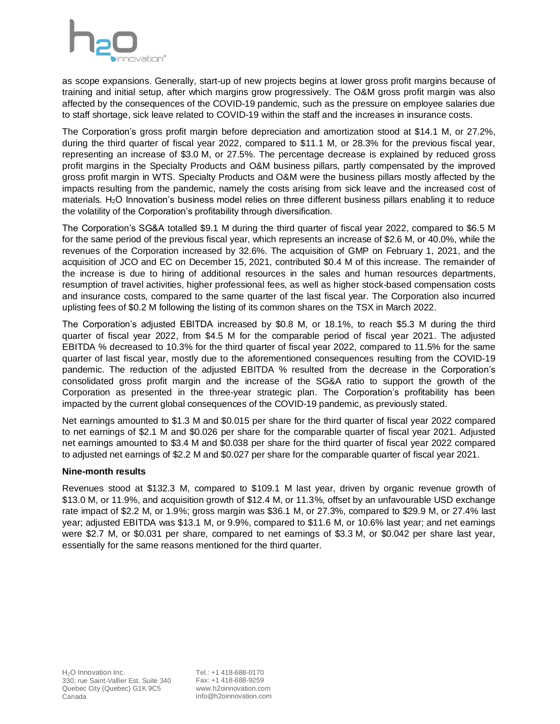

as scope expansions. Generally, start-up of new projects begins at lower gross profit margins because of training and initial setup, after which margins grow progressively. The O&M gross profit margin was also affected by the consequences of the COVID-19 pandemic, such as the pressure on employee salaries due to staff shortage, sick leave related to COVID-19 within the staff and the increases in insurance costs.

The Corporation's gross profit margin before depreciation and amortization stood at \$14.1 M, or 27.2%, during the third quarter of fiscal year 2022, compared to \$11.1 M, or 28.3% for the previous fiscal year, representing an increase of \$3.0 M, or 27.5%. The percentage decrease is explained by reduced gross profit margins in the Specialty Products and O&M business pillars, partly compensated by the improved gross profit margin in WTS. Specialty Products and O&M were the business pillars mostly affected by the impacts resulting from the pandemic, namely the costs arising from sick leave and the increased cost of materials. H2O Innovation's business model relies on three different business pillars enabling it to reduce the volatility of the Corporation's profitability through diversification.

The Corporation's SG&A totalled \$9.1 M during the third quarter of fiscal year 2022, compared to \$6.5 M for the same period of the previous fiscal year, which represents an increase of \$2.6 M, or 40.0%, while the revenues of the Corporation increased by 32.6%. The acquisition of GMP on February 1, 2021, and the acquisition of JCO and EC on December 15, 2021, contributed \$0.4 M of this increase. The remainder of the increase is due to hiring of additional resources in the sales and human resources departments, resumption of travel activities, higher professional fees, as well as higher stock-based compensation costs and insurance costs, compared to the same quarter of the last fiscal year. The Corporation also incurred uplisting fees of \$0.2 M following the listing of its common shares on the TSX in March 2022.

The Corporation's adjusted EBITDA increased by \$0.8 M, or 18.1%, to reach \$5.3 M during the third quarter of fiscal year 2022, from \$4.5 M for the comparable period of fiscal year 2021. The adjusted EBITDA % decreased to 10.3% for the third quarter of fiscal year 2022, compared to 11.5% for the same quarter of last fiscal year, mostly due to the aforementioned consequences resulting from the COVID-19 pandemic. The reduction of the adjusted EBITDA % resulted from the decrease in the Corporation's consolidated gross profit margin and the increase of the SG&A ratio to support the growth of the Corporation as presented in the three-year strategic plan. The Corporation's profitability has been impacted by the current global consequences of the COVID-19 pandemic, as previously stated.

Net earnings amounted to \$1.3 M and \$0.015 per share for the third quarter of fiscal year 2022 compared to net earnings of \$2.1 M and \$0.026 per share for the comparable quarter of fiscal year 2021. Adjusted net earnings amounted to \$3.4 M and \$0.038 per share for the third quarter of fiscal year 2022 compared to adjusted net earnings of \$2.2 M and \$0.027 per share for the comparable quarter of fiscal year 2021.

## **Nine-month results**

Revenues stood at \$132.3 M, compared to \$109.1 M last year, driven by organic revenue growth of \$13.0 M, or 11.9%, and acquisition growth of \$12.4 M, or 11.3%, offset by an unfavourable USD exchange rate impact of \$2.2 M, or 1.9%; gross margin was \$36.1 M, or 27.3%, compared to \$29.9 M, or 27.4% last year; adjusted EBITDA was \$13.1 M, or 9.9%, compared to \$11.6 M, or 10.6% last year; and net earnings were \$2.7 M, or \$0.031 per share, compared to net earnings of \$3.3 M, or \$0.042 per share last year, essentially for the same reasons mentioned for the third quarter.

Tel.: +1 418-688-0170 Fax: +1 418-688-9259 www.h2oinnovation.com info@h2oinnovation.com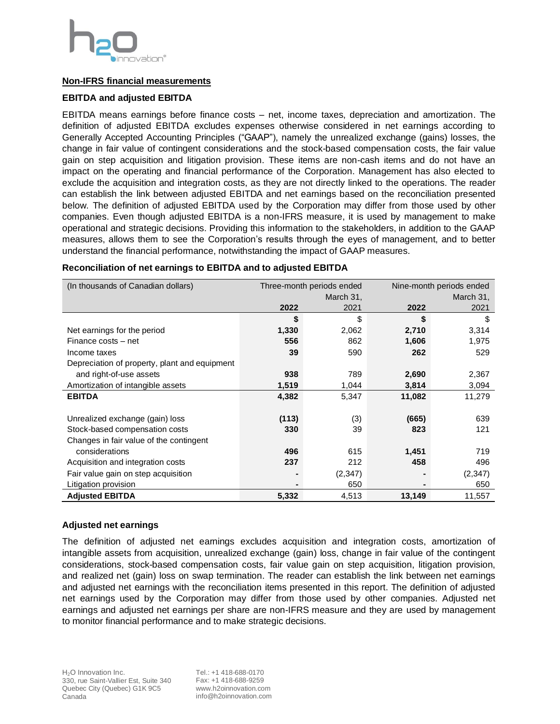

## **Non-IFRS financial measurements**

## **EBITDA and adjusted EBITDA**

EBITDA means earnings before finance costs – net, income taxes, depreciation and amortization. The definition of adjusted EBITDA excludes expenses otherwise considered in net earnings according to Generally Accepted Accounting Principles ("GAAP"), namely the unrealized exchange (gains) losses, the change in fair value of contingent considerations and the stock-based compensation costs, the fair value gain on step acquisition and litigation provision. These items are non-cash items and do not have an impact on the operating and financial performance of the Corporation. Management has also elected to exclude the acquisition and integration costs, as they are not directly linked to the operations. The reader can establish the link between adjusted EBITDA and net earnings based on the reconciliation presented below. The definition of adjusted EBITDA used by the Corporation may differ from those used by other companies. Even though adjusted EBITDA is a non-IFRS measure, it is used by management to make operational and strategic decisions. Providing this information to the stakeholders, in addition to the GAAP measures, allows them to see the Corporation's results through the eyes of management, and to better understand the financial performance, notwithstanding the impact of GAAP measures.

| (In thousands of Canadian dollars)            |                | Three-month periods ended | Nine-month periods ended |           |  |  |
|-----------------------------------------------|----------------|---------------------------|--------------------------|-----------|--|--|
|                                               | March 31,      |                           |                          | March 31, |  |  |
|                                               | 2022           | 2021                      | 2022                     | 2021      |  |  |
|                                               | \$             | \$                        | \$                       | \$        |  |  |
| Net earnings for the period                   | 1,330          | 2,062                     | 2,710                    | 3,314     |  |  |
| Finance costs - net                           | 556            | 862                       | 1,606                    | 1,975     |  |  |
| Income taxes                                  | 39             | 590                       | 262                      | 529       |  |  |
| Depreciation of property, plant and equipment |                |                           |                          |           |  |  |
| and right-of-use assets                       | 938            | 789                       | 2,690                    | 2,367     |  |  |
| Amortization of intangible assets             | 1,519          | 1,044                     | 3,814                    | 3,094     |  |  |
| <b>EBITDA</b>                                 | 4,382          | 5,347                     | 11,082                   | 11,279    |  |  |
|                                               |                |                           |                          |           |  |  |
| Unrealized exchange (gain) loss               | (113)          | (3)                       | (665)                    | 639       |  |  |
| Stock-based compensation costs                | 330            | 39                        | 823                      | 121       |  |  |
| Changes in fair value of the contingent       |                |                           |                          |           |  |  |
| considerations                                | 496            | 615                       | 1,451                    | 719       |  |  |
| Acquisition and integration costs             | 237            | 212                       | 458                      | 496       |  |  |
| Fair value gain on step acquisition           |                | (2,347)                   |                          | (2, 347)  |  |  |
| Litigation provision                          | $\blacksquare$ | 650                       |                          | 650       |  |  |
| <b>Adjusted EBITDA</b>                        | 5,332          | 4,513                     | 13,149                   | 11,557    |  |  |

#### **Reconciliation of net earnings to EBITDA and to adjusted EBITDA**

#### **Adjusted net earnings**

The definition of adjusted net earnings excludes acquisition and integration costs, amortization of intangible assets from acquisition, unrealized exchange (gain) loss, change in fair value of the contingent considerations, stock-based compensation costs, fair value gain on step acquisition, litigation provision, and realized net (gain) loss on swap termination. The reader can establish the link between net earnings and adjusted net earnings with the reconciliation items presented in this report. The definition of adjusted net earnings used by the Corporation may differ from those used by other companies. Adjusted net earnings and adjusted net earnings per share are non-IFRS measure and they are used by management to monitor financial performance and to make strategic decisions.

Tel.: +1 418-688-0170 Fax: +1 418-688-9259 www.h2oinnovation.com info@h2oinnovation.com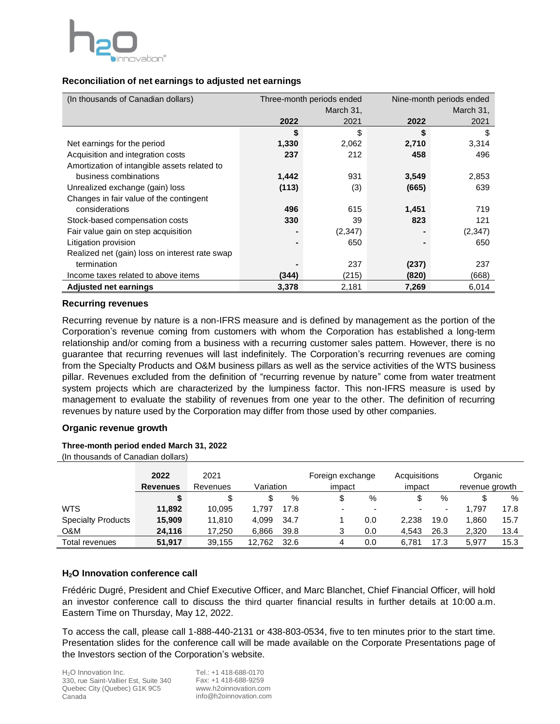

## **Reconciliation of net earnings to adjusted net earnings**

| (In thousands of Canadian dollars)             |       | Three-month periods ended | Nine-month periods ended |          |  |
|------------------------------------------------|-------|---------------------------|--------------------------|----------|--|
|                                                |       | March 31,                 | March 31,                |          |  |
|                                                | 2022  | 2021                      | 2022                     | 2021     |  |
|                                                | \$    | \$                        | \$                       | \$       |  |
| Net earnings for the period                    | 1,330 | 2,062                     | 2,710                    | 3,314    |  |
| Acquisition and integration costs              | 237   | 212                       | 458                      | 496      |  |
| Amortization of intangible assets related to   |       |                           |                          |          |  |
| business combinations                          | 1,442 | 931                       | 3,549                    | 2,853    |  |
| Unrealized exchange (gain) loss                | (113) | (3)                       | (665)                    | 639      |  |
| Changes in fair value of the contingent        |       |                           |                          |          |  |
| considerations                                 | 496   | 615                       | 1,451                    | 719      |  |
| Stock-based compensation costs                 | 330   | 39                        | 823                      | 121      |  |
| Fair value gain on step acquisition            |       | (2,347)                   |                          | (2, 347) |  |
| Litigation provision                           |       | 650                       |                          | 650      |  |
| Realized net (gain) loss on interest rate swap |       |                           |                          |          |  |
| termination                                    |       | 237                       | (237)                    | 237      |  |
| Income taxes related to above items            | (344) | (215)                     | (820)                    | (668)    |  |
| <b>Adjusted net earnings</b>                   | 3,378 | 2,181                     | 7,269                    | 6,014    |  |

## **Recurring revenues**

Recurring revenue by nature is a non-IFRS measure and is defined by management as the portion of the Corporation's revenue coming from customers with whom the Corporation has established a long-term relationship and/or coming from a business with a recurring customer sales pattern. However, there is no guarantee that recurring revenues will last indefinitely. The Corporation's recurring revenues are coming from the Specialty Products and O&M business pillars as well as the service activities of the WTS business pillar. Revenues excluded from the definition of "recurring revenue by nature" come from water treatment system projects which are characterized by the lumpiness factor. This non-IFRS measure is used by management to evaluate the stability of revenues from one year to the other. The definition of recurring revenues by nature used by the Corporation may differ from those used by other companies.

## **Organic revenue growth**

## **Three-month period ended March 31, 2022**

(In thousands of Canadian dollars)

|                           | 2022<br><b>Revenues</b> | 2021<br>Revenues | Variation |      | Foreign exchange<br>impact |     | Acquisitions<br>impact   |                          | Organic<br>revenue growth |      |
|---------------------------|-------------------------|------------------|-----------|------|----------------------------|-----|--------------------------|--------------------------|---------------------------|------|
|                           |                         |                  |           | %    |                            | %   | \$                       | %                        | \$                        | %    |
| <b>WTS</b>                | 11.892                  | 10.095           | 1.797     | 17.8 |                            |     | $\overline{\phantom{0}}$ | $\overline{\phantom{0}}$ | 1.797                     | 17.8 |
| <b>Specialty Products</b> | 15,909                  | 11.810           | 4.099     | 34.7 |                            | 0.0 | 2.238                    | 19.0                     | 1.860                     | 15.7 |
| O&M                       | 24,116                  | 17,250           | 6.866     | 39.8 |                            | 0.0 | 4.543                    | 26.3                     | 2,320                     | 13.4 |
| Total revenues            | 51.917                  | 39.155           | 12.762    | 32.6 | 4                          | 0.0 | 6.781                    | 17.3                     | 5.977                     | 15.3 |

## **H2O Innovation conference call**

Frédéric Dugré, President and Chief Executive Officer, and Marc Blanchet, Chief Financial Officer, will hold an investor conference call to discuss the third quarter financial results in further details at 10:00 a.m. Eastern Time on Thursday, May 12, 2022.

To access the call, please call 1-888-440-2131 or 438-803-0534, five to ten minutes prior to the start time. Presentation slides for the conference call will be made available on the Corporate Presentations page of the Investors section of the Corporation's website.